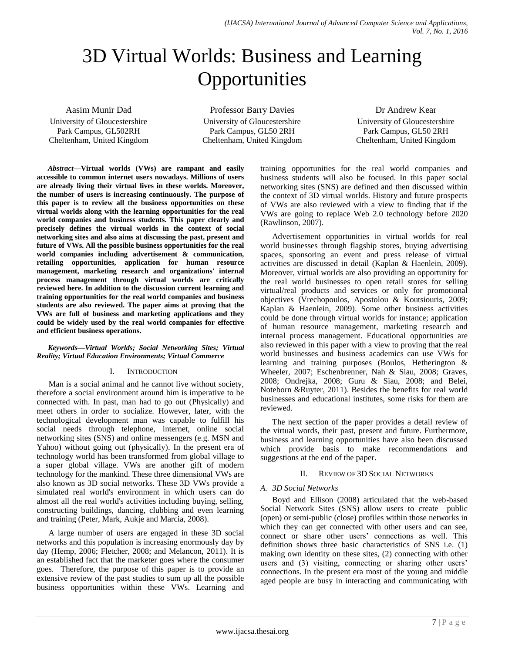# 3D Virtual Worlds: Business and Learning **Opportunities**

Aasim Munir Dad University of Gloucestershire Park Campus, GL502RH Cheltenham, United Kingdom

Professor Barry Davies University of Gloucestershire Park Campus, GL50 2RH Cheltenham, United Kingdom

Dr Andrew Kear University of Gloucestershire Park Campus, GL50 2RH Cheltenham, United Kingdom

*Abstract*—**Virtual worlds (VWs) are rampant and easily accessible to common internet users nowadays. Millions of users are already living their virtual lives in these worlds. Moreover, the number of users is increasing continuously. The purpose of this paper is to review all the business opportunities on these virtual worlds along with the learning opportunities for the real world companies and business students. This paper clearly and precisely defines the virtual worlds in the context of social networking sites and also aims at discussing the past, present and future of VWs. All the possible business opportunities for the real world companies including advertisement & communication, retailing opportunities, application for human resource management, marketing research and organizations' internal process management through virtual worlds are critically reviewed here. In addition to the discussion current learning and training opportunities for the real world companies and business students are also reviewed. The paper aims at proving that the VWs are full of business and marketing applications and they could be widely used by the real world companies for effective and efficient business operations.**

### *Keywords—Virtual Worlds; Social Networking Sites; Virtual Reality; Virtual Education Environments; Virtual Commerce*

### I. INTRODUCTION

Man is a social animal and he cannot live without society, therefore a social environment around him is imperative to be connected with. In past, man had to go out (Physically) and meet others in order to socialize. However, later, with the technological development man was capable to fulfill his social needs through telephone, internet, online social networking sites (SNS) and online messengers (e.g. MSN and Yahoo) without going out (physically). In the present era of technology world has been transformed from global village to a super global village. VWs are another gift of modern technology for the mankind. These three dimensional VWs are also known as 3D social networks. These 3D VWs provide a simulated real world's environment in which users can do almost all the real world's activities including buying, selling, constructing buildings, dancing, clubbing and even learning and training (Peter, Mark, Aukje and Marcia, 2008).

A large number of users are engaged in these 3D social networks and this population is increasing enormously day by day (Hemp, 2006; Fletcher, 2008; and Melancon, 2011). It is an established fact that the marketer goes where the consumer goes. Therefore, the purpose of this paper is to provide an extensive review of the past studies to sum up all the possible business opportunities within these VWs. Learning and training opportunities for the real world companies and business students will also be focused. In this paper social networking sites (SNS) are defined and then discussed within the context of 3D virtual worlds. History and future prospects of VWs are also reviewed with a view to finding that if the VWs are going to replace Web 2.0 technology before 2020 (Rawlinson, 2007).

Advertisement opportunities in virtual worlds for real world businesses through flagship stores, buying advertising spaces, sponsoring an event and press release of virtual activities are discussed in detail (Kaplan & Haenlein, 2009). Moreover, virtual worlds are also providing an opportunity for the real world businesses to open retail stores for selling virtual/real products and services or only for promotional objectives (Vrechopoulos, Apostolou & Koutsiouris, 2009; Kaplan & Haenlein, 2009). Some other business activities could be done through virtual worlds for instance; application of human resource management, marketing research and internal process management. Educational opportunities are also reviewed in this paper with a view to proving that the real world businesses and business academics can use VWs for learning and training purposes (Boulos, Hetherington & Wheeler, 2007; Eschenbrenner, Nah & Siau, 2008; Graves, 2008; Ondrejka, 2008; Guru & Siau, 2008; and Belei, Noteborn &Ruyter, 2011). Besides the benefits for real world businesses and educational institutes, some risks for them are reviewed.

The next section of the paper provides a detail review of the virtual words, their past, present and future. Furthermore, business and learning opportunities have also been discussed which provide basis to make recommendations and suggestions at the end of the paper.

# II. REVIEW OF 3D SOCIAL NETWORKS

# *A. 3D Social Networks*

Boyd and Ellison (2008) articulated that the web-based Social Network Sites (SNS) allow users to create public (open) or semi-public (close) profiles within those networks in which they can get connected with other users and can see, connect or share other users' connections as well. This definition shows three basic characteristics of SNS i.e. (1) making own identity on these sites, (2) connecting with other users and (3) visiting, connecting or sharing other users' connections. In the present era most of the young and middle aged people are busy in interacting and communicating with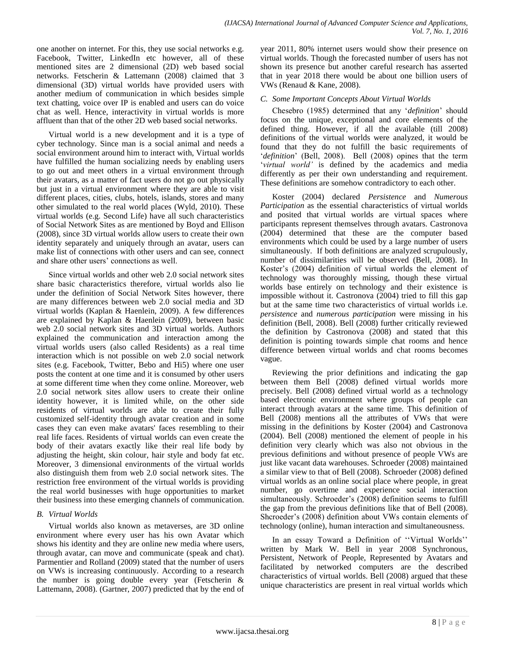one another on internet. For this, they use social networks e.g. Facebook, Twitter, LinkedIn etc however, all of these mentioned sites are 2 dimensional (2D) web based social networks. Fetscherin & Lattemann (2008) claimed that 3 dimensional (3D) virtual worlds have provided users with another medium of communication in which besides simple text chatting, voice over IP is enabled and users can do voice chat as well. Hence, interactivity in virtual worlds is more affluent than that of the other 2D web based social networks.

Virtual world is a new development and it is a type of cyber technology. Since man is a social animal and needs a social environment around him to interact with, Virtual worlds have fulfilled the human socializing needs by enabling users to go out and meet others in a virtual environment through their avatars, as a matter of fact users do not go out physically but just in a virtual environment where they are able to visit different places, cities, clubs, hotels, islands, stores and many other simulated to the real world places (Wyld, 2010). These virtual worlds (e.g. Second Life) have all such characteristics of Social Network Sites as are mentioned by Boyd and Ellison (2008), since 3D virtual worlds allow users to create their own identity separately and uniquely through an avatar, users can make list of connections with other users and can see, connect and share other users' connections as well.

Since virtual worlds and other web 2.0 social network sites share basic characteristics therefore, virtual worlds also lie under the definition of Social Network Sites however, there are many differences between web 2.0 social media and 3D virtual worlds (Kaplan & Haenlein, 2009). A few differences are explained by Kaplan & Haenlein (2009), between basic web 2.0 social network sites and 3D virtual worlds. Authors explained the communication and interaction among the virtual worlds users (also called Residents) as a real time interaction which is not possible on web 2.0 social network sites (e.g. Facebook, Twitter, Bebo and Hi5) where one user posts the content at one time and it is consumed by other users at some different time when they come online. Moreover, web 2.0 social network sites allow users to create their online identity however, it is limited while, on the other side residents of virtual worlds are able to create their fully customized self-identity through avatar creation and in some cases they can even make avatars' faces resembling to their real life faces. Residents of virtual worlds can even create the body of their avatars exactly like their real life body by adjusting the height, skin colour, hair style and body fat etc. Moreover, 3 dimensional environments of the virtual worlds also distinguish them from web 2.0 social network sites. The restriction free environment of the virtual worlds is providing the real world businesses with huge opportunities to market their business into these emerging channels of communication.

# *B. Virtual Worlds*

Virtual worlds also known as metaverses, are 3D online environment where every user has his own Avatar which shows his identity and they are online new media where users, through avatar, can move and communicate (speak and chat). Parmentier and Rolland (2009) stated that the number of users on VWs is increasing continuously. According to a research the number is going double every year (Fetscherin & Lattemann, 2008). (Gartner, 2007) predicted that by the end of year 2011, 80% internet users would show their presence on virtual worlds. Though the forecasted number of users has not shown its presence but another careful research has asserted that in year 2018 there would be about one billion users of VWs (Renaud & Kane, 2008).

# *C. Some Important Concepts About Virtual Worlds*

Chesebro (1985) determined that any ‗*definition*' should focus on the unique, exceptional and core elements of the defined thing. However, if all the available (till 2008) definitions of the virtual worlds were analyzed, it would be found that they do not fulfill the basic requirements of ‗*definition*' (Bell, 2008). Bell (2008) opines that the term ‗*virtual world'* is defined by the academics and media differently as per their own understanding and requirement. These definitions are somehow contradictory to each other.

Koster (2004) declared *Persistence* and *Numerous Participation* as the essential characteristics of virtual worlds and posited that virtual worlds are virtual spaces where participants represent themselves through avatars. Castronova (2004) determined that these are the computer based environments which could be used by a large number of users simultaneously. If both definitions are analyzed scrupulously, number of dissimilarities will be observed (Bell, 2008). In Koster's (2004) definition of virtual worlds the element of technology was thoroughly missing, though these virtual worlds base entirely on technology and their existence is impossible without it. Castronova (2004) tried to fill this gap but at the same time two characteristics of virtual worlds i.e. *persistence* and *numerous participation* were missing in his definition (Bell, 2008). Bell (2008) further critically reviewed the definition by Castronova (2008) and stated that this definition is pointing towards simple chat rooms and hence difference between virtual worlds and chat rooms becomes vague.

Reviewing the prior definitions and indicating the gap between them Bell (2008) defined virtual worlds more precisely. Bell (2008) defined virtual world as a technology based electronic environment where groups of people can interact through avatars at the same time. This definition of Bell (2008) mentions all the attributes of VWs that were missing in the definitions by Koster (2004) and Castronova (2004). Bell (2008) mentioned the element of people in his definition very clearly which was also not obvious in the previous definitions and without presence of people VWs are just like vacant data warehouses. Schroeder (2008) maintained a similar view to that of Bell (2008). Schroeder (2008) defined virtual worlds as an online social place where people, in great number, go overtime and experience social interaction simultaneously. Schroeder's (2008) definition seems to fulfill the gap from the previous definitions like that of Bell (2008). Shcroeder's (2008) definition about VWs contain elements of technology (online), human interaction and simultaneousness.

In an essay Toward a Definition of "Virtual Worlds" written by Mark W. Bell in year 2008 Synchronous, Persistent, Network of People, Represented by Avatars and facilitated by networked computers are the described characteristics of virtual worlds. Bell (2008) argued that these unique characteristics are present in real virtual worlds which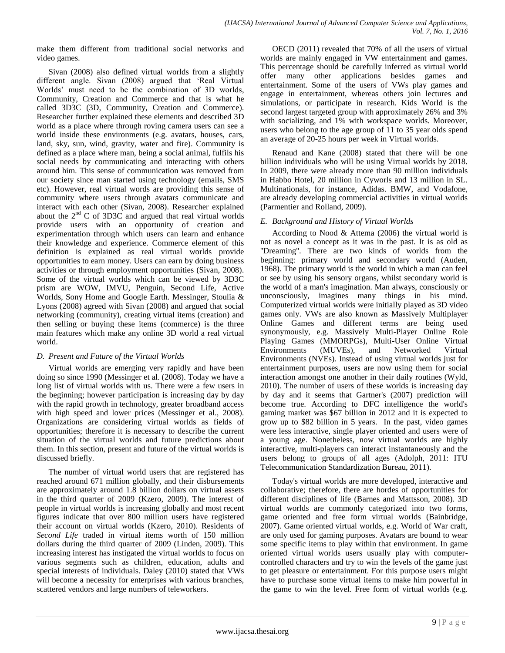make them different from traditional social networks and video games.

Sivan (2008) also defined virtual worlds from a slightly different angle. Sivan (2008) argued that 'Real Virtual Worlds' must need to be the combination of 3D worlds, Community, Creation and Commerce and that is what he called 3D3C (3D, Community, Creation and Commerce). Researcher further explained these elements and described 3D world as a place where through roving camera users can see a world inside these environments (e.g. avatars, houses, cars, land, sky, sun, wind, gravity, water and fire). Community is defined as a place where man, being a social animal, fulfils his social needs by communicating and interacting with others around him. This sense of communication was removed from our society since man started using technology (emails, SMS etc). However, real virtual words are providing this sense of community where users through avatars communicate and interact with each other (Sivan, 2008). Researcher explained about the  $2<sup>nd</sup>$  C of 3D3C and argued that real virtual worlds provide users with an opportunity of creation and experimentation through which users can learn and enhance their knowledge and experience. Commerce element of this definition is explained as real virtual worlds provide opportunities to earn money. Users can earn by doing business activities or through employment opportunities (Sivan, 2008). Some of the virtual worlds which can be viewed by 3D3C prism are WOW, IMVU, Penguin, Second Life, Active Worlds, Sony Home and Google Earth. Messinger, Stoulia & Lyons (2008) agreed with Sivan (2008) and argued that social networking (community), creating virtual items (creation) and then selling or buying these items (commerce) is the three main features which make any online 3D world a real virtual world.

# *D. Present and Future of the Virtual Worlds*

Virtual worlds are emerging very rapidly and have been doing so since 1990 (Messinger et al. (2008). Today we have a long list of virtual worlds with us. There were a few users in the beginning; however participation is increasing day by day with the rapid growth in technology, greater broadband access with high speed and lower prices (Messinger et al., 2008). Organizations are considering virtual worlds as fields of opportunities; therefore it is necessary to describe the current situation of the virtual worlds and future predictions about them. In this section, present and future of the virtual worlds is discussed briefly.

The number of virtual world users that are registered has reached around 671 million globally, and their disbursements are approximately around 1.8 billion dollars on virtual assets in the third quarter of 2009 (Kzero, 2009). The interest of people in virtual worlds is increasing globally and most recent figures indicate that over 800 million users have registered their account on virtual worlds (Kzero, 2010). Residents of *Second Life* traded in virtual items worth of 150 million dollars during the third quarter of 2009 (Linden, 2009). This increasing interest has instigated the virtual worlds to focus on various segments such as children, education, adults and special interests of individuals. Daley (2010) stated that VWs will become a necessity for enterprises with various branches, scattered vendors and large numbers of teleworkers.

OECD (2011) revealed that 70% of all the users of virtual worlds are mainly engaged in VW entertainment and games. This percentage should be carefully inferred as virtual world offer many other applications besides games and entertainment. Some of the users of VWs play games and engage in entertainment, whereas others join lectures and simulations, or participate in research. Kids World is the second largest targeted group with approximately 26% and 3% with socializing, and 1% with workspace worlds. Moreover, users who belong to the age group of 11 to 35 year olds spend an average of 20-25 hours per week in Virtual worlds.

Renaud and Kane (2008) stated that there will be one billion individuals who will be using Virtual worlds by 2018. In 2009, there were already more than 90 million individuals in Habbo Hotel, 20 million in Cyworls and 13 million in SL. Multinationals, for instance, Adidas. BMW, and Vodafone, are already developing commercial activities in virtual worlds (Parmentier and Rolland, 2009).

# *E. Background and History of Virtual Worlds*

According to Nood & Attema (2006) the virtual world is not as novel a concept as it was in the past. It is as old as ''Dreaming''. There are two kinds of worlds from the beginning: primary world and secondary world (Auden, 1968). The primary world is the world in which a man can feel or see by using his sensory organs, whilst secondary world is the world of a man's imagination. Man always, consciously or unconsciously, imagines many things in his mind. Computerized virtual worlds were initially played as 3D video games only. VWs are also known as Massively Multiplayer Online Games and different terms are being used synonymously, e.g. Massively Multi-Player Online Role Playing Games (MMORPGs), Multi-User Online Virtual Environments (MUVEs), and Networked Virtual Environments (NVEs). Instead of using virtual worlds just for entertainment purposes, users are now using them for social interaction amongst one another in their daily routines (Wyld, 2010). The number of users of these worlds is increasing day by day and it seems that Gartner's (2007) prediction will become true. According to DFC intelligence the world's gaming market was \$67 billion in 2012 and it is expected to grow up to \$82 billion in 5 years. In the past, video games were less interactive, single player oriented and users were of a young age. Nonetheless, now virtual worlds are highly interactive, multi-players can interact instantaneously and the users belong to groups of all ages (Adolph, 2011: ITU Telecommunication Standardization Bureau, 2011).

Today's virtual worlds are more developed, interactive and collaborative; therefore, there are hordes of opportunities for different disciplines of life (Barnes and Mattsson, 2008). 3D virtual worlds are commonly categorized into two forms, game oriented and free form virtual worlds (Bainbridge, 2007). Game oriented virtual worlds, e.g. World of War craft, are only used for gaming purposes. Avatars are bound to wear some specific items to play within that environment. In game oriented virtual worlds users usually play with computercontrolled characters and try to win the levels of the game just to get pleasure or entertainment. For this purpose users might have to purchase some virtual items to make him powerful in the game to win the level. Free form of virtual worlds (e.g.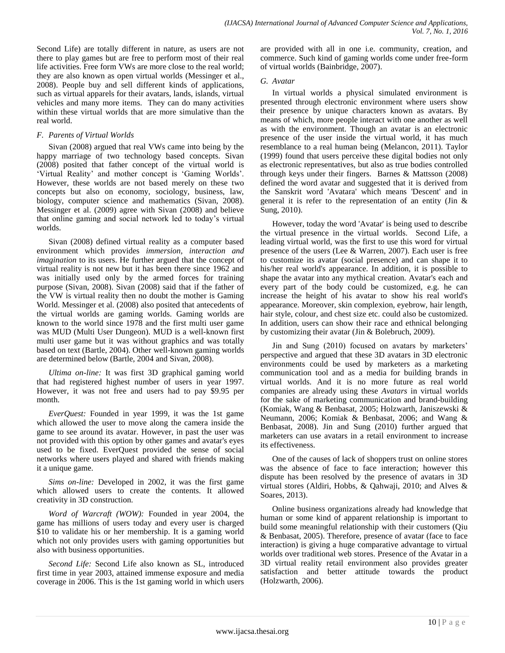Second Life) are totally different in nature, as users are not there to play games but are free to perform most of their real life activities. Free form VWs are more close to the real world; they are also known as open virtual worlds (Messinger et al., 2008). People buy and sell different kinds of applications, such as virtual apparels for their avatars, lands, islands, virtual vehicles and many more items. They can do many activities within these virtual worlds that are more simulative than the real world.

## *F. Parents of Virtual Worlds*

Sivan (2008) argued that real VWs came into being by the happy marriage of two technology based concepts. Sivan (2008) posited that father concept of the virtual world is ‗Virtual Reality' and mother concept is ‗Gaming Worlds'. However, these worlds are not based merely on these two concepts but also on economy, sociology, business, law, biology, computer science and mathematics (Sivan, 2008). Messinger et al. (2009) agree with Sivan (2008) and believe that online gaming and social network led to today's virtual worlds.

Sivan (2008) defined virtual reality as a computer based environment which provides *immersion, interaction and imagination* to its users. He further argued that the concept of virtual reality is not new but it has been there since 1962 and was initially used only by the armed forces for training purpose (Sivan, 2008). Sivan (2008) said that if the father of the VW is virtual reality then no doubt the mother is Gaming World. Messinger et al. (2008) also posited that antecedents of the virtual worlds are gaming worlds. Gaming worlds are known to the world since 1978 and the first multi user game was MUD (Multi User Dungeon). MUD is a well-known first multi user game but it was without graphics and was totally based on text (Bartle, 2004). Other well-known gaming worlds are determined below (Bartle, 2004 and Sivan, 2008).

*Ultima on-line:* It was first 3D graphical gaming world that had registered highest number of users in year 1997. However, it was not free and users had to pay \$9.95 per month.

*EverQuest:* Founded in year 1999, it was the 1st game which allowed the user to move along the camera inside the game to see around its avatar. However, in past the user was not provided with this option by other games and avatar's eyes used to be fixed. EverQuest provided the sense of social networks where users played and shared with friends making it a unique game.

*Sims on-line:* Developed in 2002, it was the first game which allowed users to create the contents. It allowed creativity in 3D construction.

*Word of Warcraft (WOW):* Founded in year 2004, the game has millions of users today and every user is charged \$10 to validate his or her membership. It is a gaming world which not only provides users with gaming opportunities but also with business opportunities.

*Second Life:* Second Life also known as SL, introduced first time in year 2003, attained immense exposure and media coverage in 2006. This is the 1st gaming world in which users are provided with all in one i.e. community, creation, and commerce. Such kind of gaming worlds come under free-form of virtual worlds (Bainbridge, 2007).

## *G. Avatar*

In virtual worlds a physical simulated environment is presented through electronic environment where users show their presence by unique characters known as avatars. By means of which, more people interact with one another as well as with the environment. Though an avatar is an electronic presence of the user inside the virtual world, it has much resemblance to a real human being (Melancon, 2011). Taylor (1999) found that users perceive these digital bodies not only as electronic representatives, but also as true bodies controlled through keys under their fingers. Barnes & Mattsson (2008) defined the word avatar and suggested that it is derived from the Sanskrit word 'Avatara' which means 'Descent' and in general it is refer to the representation of an entity (Jin  $\&$ Sung, 2010).

However, today the word 'Avatar' is being used to describe the virtual presence in the virtual worlds. Second Life, a leading virtual world, was the first to use this word for virtual presence of the users (Lee & Warren, 2007). Each user is free to customize its avatar (social presence) and can shape it to his/her real world's appearance. In addition, it is possible to shape the avatar into any mythical creation. Avatar's each and every part of the body could be customized, e.g. he can increase the height of his avatar to show his real world's appearance. Moreover, skin complexion, eyebrow, hair length, hair style, colour, and chest size etc. could also be customized. In addition, users can show their race and ethnical belonging by customizing their avatar (Jin & Bolebruch, 2009).

Jin and Sung (2010) focused on avatars by marketers' perspective and argued that these 3D avatars in 3D electronic environments could be used by marketers as a marketing communication tool and as a media for building brands in virtual worlds. And it is no more future as real world companies are already using these *Avatars* in virtual worlds for the sake of marketing communication and brand-building (Komiak, Wang & Benbasat, 2005; Holzwarth, Janiszewski & Neumann, 2006; Komiak & Benbasat, 2006; and Wang & Benbasat, 2008). Jin and Sung (2010) further argued that marketers can use avatars in a retail environment to increase its effectiveness.

One of the causes of lack of shoppers trust on online stores was the absence of face to face interaction; however this dispute has been resolved by the presence of avatars in 3D virtual stores (Aldiri, Hobbs, & Qahwaji, 2010; and Alves & Soares, 2013).

Online business organizations already had knowledge that human or some kind of apparent relationship is important to build some meaningful relationship with their customers (Qiu & Benbasat, 2005). Therefore, presence of avatar (face to face interaction) is giving a huge comparative advantage to virtual worlds over traditional web stores. Presence of the Avatar in a 3D virtual reality retail environment also provides greater satisfaction and better attitude towards the product (Holzwarth, 2006).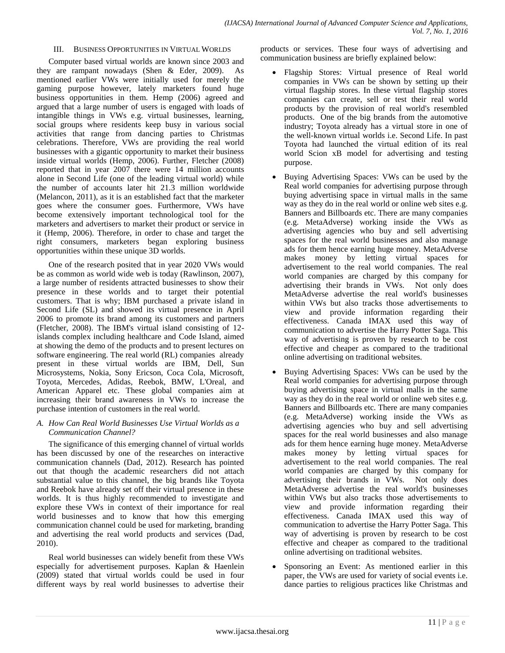#### III. BUSINESS OPPORTUNITIES IN VIRTUAL WORLDS

Computer based virtual worlds are known since 2003 and they are rampant nowadays (Shen & Eder, 2009). As mentioned earlier VWs were initially used for merely the gaming purpose however, lately marketers found huge business opportunities in them. Hemp (2006) agreed and argued that a large number of users is engaged with loads of intangible things in VWs e.g. virtual businesses, learning, social groups where residents keep busy in various social activities that range from dancing parties to Christmas celebrations. Therefore, VWs are providing the real world businesses with a gigantic opportunity to market their business inside virtual worlds (Hemp, 2006). Further, Fletcher (2008) reported that in year 2007 there were 14 million accounts alone in Second Life (one of the leading virtual world) while the number of accounts later hit 21.3 million worldwide (Melancon, 2011), as it is an established fact that the marketer goes where the consumer goes. Furthermore, VWs have become extensively important technological tool for the marketers and advertisers to market their product or service in it (Hemp, 2006). Therefore, in order to chase and target the right consumers, marketers began exploring business opportunities within these unique 3D worlds.

One of the research posited that in year 2020 VWs would be as common as world wide web is today (Rawlinson, 2007), a large number of residents attracted businesses to show their presence in these worlds and to target their potential customers. That is why; IBM purchased a private island in Second Life (SL) and showed its virtual presence in April 2006 to promote its brand among its customers and partners (Fletcher, 2008). The IBM's virtual island consisting of 12 islands complex including healthcare and Code Island, aimed at showing the demo of the products and to present lectures on software engineering. The real world (RL) companies already present in these virtual worlds are IBM, Dell, Sun Microsystems, Nokia, Sony Ericson, Coca Cola, Microsoft, Toyota, Mercedes, Adidas, Reebok, BMW, L'Oreal, and American Apparel etc. These global companies aim at increasing their brand awareness in VWs to increase the purchase intention of customers in the real world.

### *A. How Can Real World Businesses Use Virtual Worlds as a Communication Channel?*

The significance of this emerging channel of virtual worlds has been discussed by one of the researches on interactive communication channels (Dad, 2012). Research has pointed out that though the academic researchers did not attach substantial value to this channel, the big brands like Toyota and Reebok have already set off their virtual presence in these worlds. It is thus highly recommended to investigate and explore these VWs in context of their importance for real world businesses and to know that how this emerging communication channel could be used for marketing, branding and advertising the real world products and services (Dad, 2010).

Real world businesses can widely benefit from these VWs especially for advertisement purposes. Kaplan & Haenlein (2009) stated that virtual worlds could be used in four different ways by real world businesses to advertise their products or services. These four ways of advertising and communication business are briefly explained below:

- Flagship Stores: Virtual presence of Real world companies in VWs can be shown by setting up their virtual flagship stores. In these virtual flagship stores companies can create, sell or test their real world products by the provision of real world's resembled products. One of the big brands from the automotive industry; Toyota already has a virtual store in one of the well-known virtual worlds i.e. Second Life. In past Toyota had launched the virtual edition of its real world Scion xB model for advertising and testing purpose.
- Buying Advertising Spaces: VWs can be used by the Real world companies for advertising purpose through buying advertising space in virtual malls in the same way as they do in the real world or online web sites e.g. Banners and Billboards etc. There are many companies (e.g. MetaAdverse) working inside the VWs as advertising agencies who buy and sell advertising spaces for the real world businesses and also manage ads for them hence earning huge money. MetaAdverse makes money by letting virtual spaces for advertisement to the real world companies. The real world companies are charged by this company for advertising their brands in VWs. Not only does MetaAdverse advertise the real world's businesses within VWs but also tracks those advertisements to view and provide information regarding their effectiveness. Canada IMAX used this way of communication to advertise the Harry Potter Saga. This way of advertising is proven by research to be cost effective and cheaper as compared to the traditional online advertising on traditional websites.
- Buying Advertising Spaces: VWs can be used by the Real world companies for advertising purpose through buying advertising space in virtual malls in the same way as they do in the real world or online web sites e.g. Banners and Billboards etc. There are many companies (e.g. MetaAdverse) working inside the VWs as advertising agencies who buy and sell advertising spaces for the real world businesses and also manage ads for them hence earning huge money. MetaAdverse makes money by letting virtual spaces for advertisement to the real world companies. The real world companies are charged by this company for advertising their brands in VWs. Not only does MetaAdverse advertise the real world's businesses within VWs but also tracks those advertisements to view and provide information regarding their effectiveness. Canada IMAX used this way of communication to advertise the Harry Potter Saga. This way of advertising is proven by research to be cost effective and cheaper as compared to the traditional online advertising on traditional websites.
- Sponsoring an Event: As mentioned earlier in this paper, the VWs are used for variety of social events i.e. dance parties to religious practices like Christmas and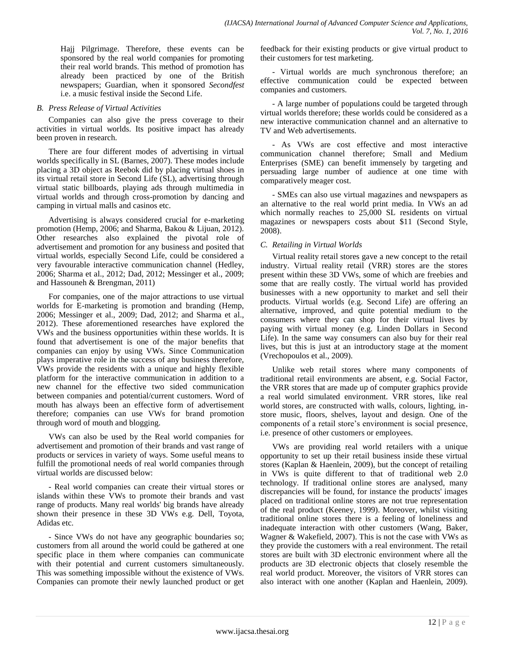Hajj Pilgrimage. Therefore, these events can be sponsored by the real world companies for promoting their real world brands. This method of promotion has already been practiced by one of the British newspapers; Guardian, when it sponsored *Secondfest* i.e. a music festival inside the Second Life.

### *B. Press Release of Virtual Activities*

Companies can also give the press coverage to their activities in virtual worlds. Its positive impact has already been proven in research.

There are four different modes of advertising in virtual worlds specifically in SL (Barnes, 2007). These modes include placing a 3D object as Reebok did by placing virtual shoes in its virtual retail store in Second Life (SL), advertising through virtual static billboards, playing ads through multimedia in virtual worlds and through cross-promotion by dancing and camping in virtual malls and casinos etc.

Advertising is always considered crucial for e-marketing promotion (Hemp, 2006; and Sharma, Bakou & Lijuan, 2012). Other researches also explained the pivotal role of advertisement and promotion for any business and posited that virtual worlds, especially Second Life, could be considered a very favourable interactive communication channel (Hedley, 2006; Sharma et al., 2012; Dad, 2012; Messinger et al., 2009; and Hassouneh & Brengman, 2011)

For companies, one of the major attractions to use virtual worlds for E-marketing is promotion and branding (Hemp, 2006; Messinger et al., 2009; Dad, 2012; and Sharma et al., 2012). These aforementioned researches have explored the VWs and the business opportunities within these worlds. It is found that advertisement is one of the major benefits that companies can enjoy by using VWs. Since Communication plays imperative role in the success of any business therefore, VWs provide the residents with a unique and highly flexible platform for the interactive communication in addition to a new channel for the effective two sided communication between companies and potential/current customers. Word of mouth has always been an effective form of advertisement therefore; companies can use VWs for brand promotion through word of mouth and blogging.

VWs can also be used by the Real world companies for advertisement and promotion of their brands and vast range of products or services in variety of ways. Some useful means to fulfill the promotional needs of real world companies through virtual worlds are discussed below:

- Real world companies can create their virtual stores or islands within these VWs to promote their brands and vast range of products. Many real worlds' big brands have already shown their presence in these 3D VWs e.g. Dell, Toyota, Adidas etc.

- Since VWs do not have any geographic boundaries so; customers from all around the world could be gathered at one specific place in them where companies can communicate with their potential and current customers simultaneously. This was something impossible without the existence of VWs. Companies can promote their newly launched product or get feedback for their existing products or give virtual product to their customers for test marketing.

- Virtual worlds are much synchronous therefore; an effective communication could be expected between companies and customers.

- A large number of populations could be targeted through virtual worlds therefore; these worlds could be considered as a new interactive communication channel and an alternative to TV and Web advertisements.

- As VWs are cost effective and most interactive communication channel therefore; Small and Medium Enterprises (SME) can benefit immensely by targeting and persuading large number of audience at one time with comparatively meager cost.

- SMEs can also use virtual magazines and newspapers as an alternative to the real world print media. In VWs an ad which normally reaches to 25,000 SL residents on virtual magazines or newspapers costs about \$11 (Second Style, 2008).

# *C. Retailing in Virtual Worlds*

Virtual reality retail stores gave a new concept to the retail industry. Virtual reality retail (VRR) stores are the stores present within these 3D VWs, some of which are freebies and some that are really costly. The virtual world has provided businesses with a new opportunity to market and sell their products. Virtual worlds (e.g. Second Life) are offering an alternative, improved, and quite potential medium to the consumers where they can shop for their virtual lives by paying with virtual money (e.g. Linden Dollars in Second Life). In the same way consumers can also buy for their real lives, but this is just at an introductory stage at the moment (Vrechopoulos et al., 2009).

Unlike web retail stores where many components of traditional retail environments are absent, e.g. Social Factor, the VRR stores that are made up of computer graphics provide a real world simulated environment. VRR stores, like real world stores, are constructed with walls, colours, lighting, instore music, floors, shelves, layout and design. One of the components of a retail store's environment is social presence, i.e. presence of other customers or employees.

VWs are providing real world retailers with a unique opportunity to set up their retail business inside these virtual stores (Kaplan & Haenlein, 2009), but the concept of retailing in VWs is quite different to that of traditional web 2.0 technology. If traditional online stores are analysed, many discrepancies will be found, for instance the products' images placed on traditional online stores are not true representation of the real product (Keeney, 1999). Moreover, whilst visiting traditional online stores there is a feeling of loneliness and inadequate interaction with other customers (Wang, Baker, Wagner & Wakefield, 2007). This is not the case with VWs as they provide the customers with a real environment. The retail stores are built with 3D electronic environment where all the products are 3D electronic objects that closely resemble the real world product. Moreover, the visitors of VRR stores can also interact with one another (Kaplan and Haenlein, 2009).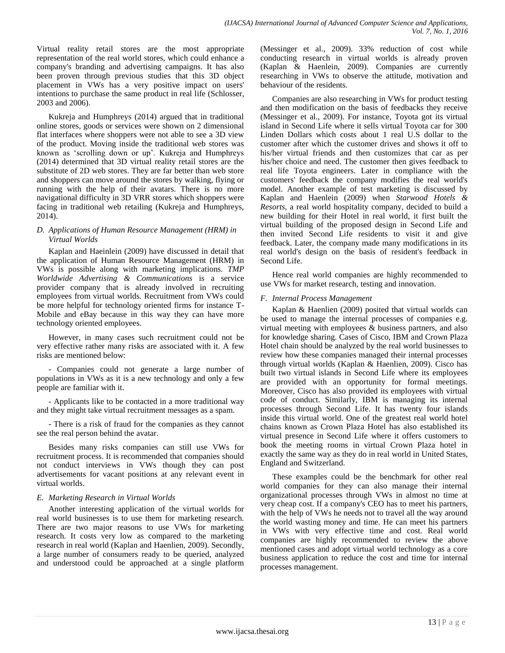Virtual reality retail stores are the most appropriate representation of the real world stores, which could enhance a company's branding and advertising campaigns. It has also been proven through previous studies that this 3D object placement in VWs has a very positive impact on users' intentions to purchase the same product in real life (Schlosser, 2003 and 2006).

Kukreja and Humphreys (2014) argued that in traditional online stores, goods or services were shown on 2 dimensional flat interfaces where shoppers were not able to see a 3D view of the product. Moving inside the traditional web stores was known as ‗scrolling down or up'. Kukreja and Humphreys (2014) determined that 3D virtual reality retail stores are the substitute of 2D web stores. They are far better than web store and shoppers can move around the stores by walking, flying or running with the help of their avatars. There is no more navigational difficulty in 3D VRR stores which shoppers were facing in traditional web retailing (Kukreja and Humphreys, 2014).

## *D. Applications of Human Resource Management (HRM) in Virtual Worlds*

Kaplan and Haeinlein (2009) have discussed in detail that the application of Human Resource Management (HRM) in VWs is possible along with marketing implications. *TMP Worldwide Advertising & Communications* is a service provider company that is already involved in recruiting employees from virtual worlds. Recruitment from VWs could be more helpful for technology oriented firms for instance T-Mobile and eBay because in this way they can have more technology oriented employees.

However, in many cases such recruitment could not be very effective rather many risks are associated with it. A few risks are mentioned below:

- Companies could not generate a large number of populations in VWs as it is a new technology and only a few people are familiar with it.

- Applicants like to be contacted in a more traditional way and they might take virtual recruitment messages as a spam.

- There is a risk of fraud for the companies as they cannot see the real person behind the avatar.

Besides many risks companies can still use VWs for recruitment process. It is recommended that companies should not conduct interviews in VWs though they can post advertisements for vacant positions at any relevant event in virtual worlds.

# *E. Marketing Research in Virtual Worlds*

Another interesting application of the virtual worlds for real world businesses is to use them for marketing research. There are two major reasons to use VWs for marketing research. It costs very low as compared to the marketing research in real world (Kaplan and Haenlien, 2009). Secondly, a large number of consumers ready to be queried, analyzed and understood could be approached at a single platform (Messinger et al., 2009). 33% reduction of cost while conducting research in virtual worlds is already proven (Kaplan & Haenlein, 2009). Companies are currently researching in VWs to observe the attitude, motivation and behaviour of the residents.

Companies are also researching in VWs for product testing and then modification on the basis of feedbacks they receive (Messinger et al., 2009). For instance, Toyota got its virtual island in Second Life where it sells virtual Toyota car for 300 Linden Dollars which costs about 1 real U.S dollar to the customer after which the customer drives and shows it off to his/her virtual friends and then customizes that car as per his/her choice and need. The customer then gives feedback to real life Toyota engineers. Later in compliance with the customers' feedback the company modifies the real world's model. Another example of test marketing is discussed by Kaplan and Haenlein (2009) when *Starwood Hotels & Resorts*, a real world hospitality company, decided to build a new building for their Hotel in real world, it first built the virtual building of the proposed design in Second Life and then invited Second Life residents to visit it and give feedback. Later, the company made many modifications in its real world's design on the basis of resident's feedback in Second Life.

Hence real world companies are highly recommended to use VWs for market research, testing and innovation.

## *F. Internal Process Management*

Kaplan & Haenlien (2009) posited that virtual worlds can be used to manage the internal processes of companies e.g. virtual meeting with employees & business partners, and also for knowledge sharing. Cases of Cisco, IBM and Crown Plaza Hotel chain should be analyzed by the real world businesses to review how these companies managed their internal processes through virtual worlds (Kaplan & Haenlien, 2009). Cisco has built two virtual islands in Second Life where its employees are provided with an opportunity for formal meetings. Moreover, Cisco has also provided its employees with virtual code of conduct. Similarly, IBM is managing its internal processes through Second Life. It has twenty four islands inside this virtual world. One of the greatest real world hotel chains known as Crown Plaza Hotel has also established its virtual presence in Second Life where it offers customers to book the meeting rooms in virtual Crown Plaza hotel in exactly the same way as they do in real world in United States, England and Switzerland.

These examples could be the benchmark for other real world companies for they can also manage their internal organizational processes through VWs in almost no time at very cheap cost. If a company's CEO has to meet his partners, with the help of VWs he needs not to travel all the way around the world wasting money and time. He can meet his partners in VWs with very effective time and cost. Real world companies are highly recommended to review the above mentioned cases and adopt virtual world technology as a core business application to reduce the cost and time for internal processes management.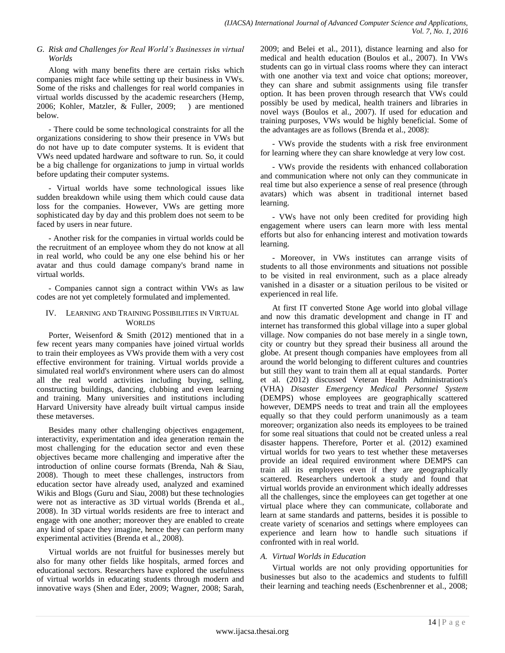### *G. Risk and Challenges for Real World's Businesses in virtual Worlds*

Along with many benefits there are certain risks which companies might face while setting up their business in VWs. Some of the risks and challenges for real world companies in virtual worlds discussed by the academic researchers (Hemp, 2006; Kohler, Matzler, & Fuller, 2009; ) are mentioned below.

- There could be some technological constraints for all the organizations considering to show their presence in VWs but do not have up to date computer systems. It is evident that VWs need updated hardware and software to run. So, it could be a big challenge for organizations to jump in virtual worlds before updating their computer systems.

- Virtual worlds have some technological issues like sudden breakdown while using them which could cause data loss for the companies. However, VWs are getting more sophisticated day by day and this problem does not seem to be faced by users in near future.

- Another risk for the companies in virtual worlds could be the recruitment of an employee whom they do not know at all in real world, who could be any one else behind his or her avatar and thus could damage company's brand name in virtual worlds.

- Companies cannot sign a contract within VWs as law codes are not yet completely formulated and implemented.

## IV. LEARNING AND TRAINING POSSIBILITIES IN VIRTUAL **WORLDS**

Porter, Weisenford & Smith (2012) mentioned that in a few recent years many companies have joined virtual worlds to train their employees as VWs provide them with a very cost effective environment for training. Virtual worlds provide a simulated real world's environment where users can do almost all the real world activities including buying, selling, constructing buildings, dancing, clubbing and even learning and training. Many universities and institutions including Harvard University have already built virtual campus inside these metaverses.

Besides many other challenging objectives engagement, interactivity, experimentation and idea generation remain the most challenging for the education sector and even these objectives became more challenging and imperative after the introduction of online course formats (Brenda, Nah & Siau, 2008). Though to meet these challenges, instructors from education sector have already used, analyzed and examined Wikis and Blogs (Guru and Siau, 2008) but these technologies were not as interactive as 3D virtual worlds (Brenda et al., 2008). In 3D virtual worlds residents are free to interact and engage with one another; moreover they are enabled to create any kind of space they imagine, hence they can perform many experimental activities (Brenda et al., 2008).

Virtual worlds are not fruitful for businesses merely but also for many other fields like hospitals, armed forces and educational sectors. Researchers have explored the usefulness of virtual worlds in educating students through modern and innovative ways (Shen and Eder, 2009; Wagner, 2008; Sarah, 2009; and Belei et al., 2011), distance learning and also for medical and health education (Boulos et al., 2007). In VWs students can go in virtual class rooms where they can interact with one another via text and voice chat options; moreover, they can share and submit assignments using file transfer option. It has been proven through research that VWs could possibly be used by medical, health trainers and libraries in novel ways (Boulos et al., 2007). If used for education and training purposes, VWs would be highly beneficial. Some of the advantages are as follows (Brenda et al., 2008):

- VWs provide the students with a risk free environment for learning where they can share knowledge at very low cost.

- VWs provide the residents with enhanced collaboration and communication where not only can they communicate in real time but also experience a sense of real presence (through avatars) which was absent in traditional internet based learning.

- VWs have not only been credited for providing high engagement where users can learn more with less mental efforts but also for enhancing interest and motivation towards learning.

- Moreover, in VWs institutes can arrange visits of students to all those environments and situations not possible to be visited in real environment, such as a place already vanished in a disaster or a situation perilous to be visited or experienced in real life.

At first IT converted Stone Age world into global village and now this dramatic development and change in IT and internet has transformed this global village into a super global village. Now companies do not base merely in a single town, city or country but they spread their business all around the globe. At present though companies have employees from all around the world belonging to different cultures and countries but still they want to train them all at equal standards. Porter et al. (2012) discussed Veteran Health Administration's (VHA) *Disaster Emergency Medical Personnel System* (DEMPS) whose employees are geographically scattered however, DEMPS needs to treat and train all the employees equally so that they could perform unanimously as a team moreover; organization also needs its employees to be trained for some real situations that could not be created unless a real disaster happens. Therefore, Porter et al. (2012) examined virtual worlds for two years to test whether these metaverses provide an ideal required environment where DEMPS can train all its employees even if they are geographically scattered. Researchers undertook a study and found that virtual worlds provide an environment which ideally addresses all the challenges, since the employees can get together at one virtual place where they can communicate, collaborate and learn at same standards and patterns, besides it is possible to create variety of scenarios and settings where employees can experience and learn how to handle such situations if confronted with in real world.

# *A. Virtual Worlds in Education*

Virtual worlds are not only providing opportunities for businesses but also to the academics and students to fulfill their learning and teaching needs (Eschenbrenner et al., 2008;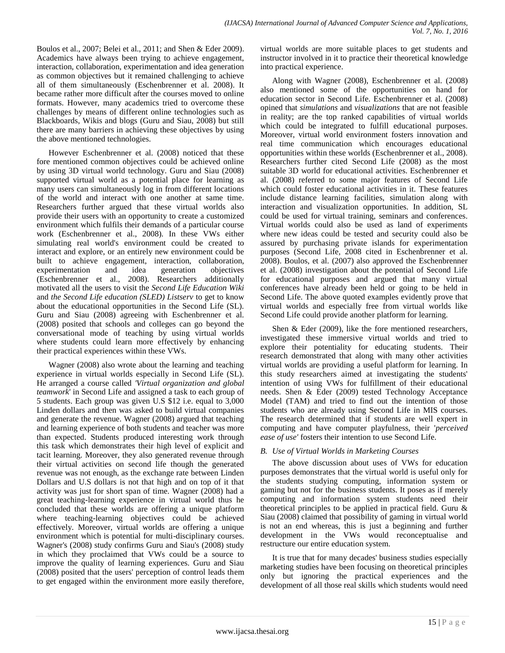Boulos et al., 2007; Belei et al., 2011; and Shen & Eder 2009). Academics have always been trying to achieve engagement, interaction, collaboration, experimentation and idea generation as common objectives but it remained challenging to achieve all of them simultaneously (Eschenbrenner et al. 2008). It became rather more difficult after the courses moved to online formats. However, many academics tried to overcome these challenges by means of different online technologies such as Blackboards, Wikis and blogs (Guru and Siau, 2008) but still there are many barriers in achieving these objectives by using the above mentioned technologies.

However Eschenbrenner et al. (2008) noticed that these fore mentioned common objectives could be achieved online by using 3D virtual world technology. Guru and Siau (2008) supported virtual world as a potential place for learning as many users can simultaneously log in from different locations of the world and interact with one another at same time. Researchers further argued that these virtual worlds also provide their users with an opportunity to create a customized environment which fulfils their demands of a particular course work (Eschenbrenner et al., 2008). In these VWs either simulating real world's environment could be created to interact and explore, or an entirely new environment could be built to achieve engagement, interaction, collaboration, experimentation and idea generation objectives experimentation and idea generation objectives (Eschenbrenner et al., 2008). Researchers additionally motivated all the users to visit the *Second Life Education Wiki* and *the Second Life education (SLED) Listserv* to get to know about the educational opportunities in the Second Life (SL). Guru and Siau (2008) agreeing with Eschenbrenner et al. (2008) posited that schools and colleges can go beyond the conversational mode of teaching by using virtual worlds where students could learn more effectively by enhancing their practical experiences within these VWs.

Wagner (2008) also wrote about the learning and teaching experience in virtual worlds especially in Second Life (SL). He arranged a course called *'Virtual organization and global teamwork*' in Second Life and assigned a task to each group of 5 students. Each group was given U.S \$12 i.e. equal to 3,000 Linden dollars and then was asked to build virtual companies and generate the revenue. Wagner (2008) argued that teaching and learning experience of both students and teacher was more than expected. Students produced interesting work through this task which demonstrates their high level of explicit and tacit learning. Moreover, they also generated revenue through their virtual activities on second life though the generated revenue was not enough, as the exchange rate between Linden Dollars and U.S dollars is not that high and on top of it that activity was just for short span of time. Wagner (2008) had a great teaching-learning experience in virtual world thus he concluded that these worlds are offering a unique platform where teaching-learning objectives could be achieved effectively. Moreover, virtual worlds are offering a unique environment which is potential for multi-disciplinary courses. Wagner's (2008) study confirms Guru and Siau's (2008) study in which they proclaimed that VWs could be a source to improve the quality of learning experiences. Guru and Siau (2008) posited that the users' perception of control leads them to get engaged within the environment more easily therefore,

virtual worlds are more suitable places to get students and instructor involved in it to practice their theoretical knowledge into practical experience.

Along with Wagner (2008), Eschenbrenner et al. (2008) also mentioned some of the opportunities on hand for education sector in Second Life. Eschenbrenner et al. (2008) opined that *simulations* and *visualizations* that are not feasible in reality; are the top ranked capabilities of virtual worlds which could be integrated to fulfill educational purposes. Moreover, virtual world environment fosters innovation and real time communication which encourages educational opportunities within these worlds (Eschenbrenner et al., 2008). Researchers further cited Second Life (2008) as the most suitable 3D world for educational activities. Eschenbrenner et al. (2008) referred to some major features of Second Life which could foster educational activities in it. These features include distance learning facilities, simulation along with interaction and visualization opportunities. In addition, SL could be used for virtual training, seminars and conferences. Virtual worlds could also be used as land of experiments where new ideas could be tested and security could also be assured by purchasing private islands for experimentation purposes (Second Life, 2008 cited in Eschenbrenner et al. 2008). Boulos, et al. (2007) also approved the Eschenbrenner et al. (2008) investigation about the potential of Second Life for educational purposes and argued that many virtual conferences have already been held or going to be held in Second Life. The above quoted examples evidently prove that virtual worlds and especially free from virtual worlds like Second Life could provide another platform for learning.

Shen & Eder (2009), like the fore mentioned researchers, investigated these immersive virtual worlds and tried to explore their potentiality for educating students. Their research demonstrated that along with many other activities virtual worlds are providing a useful platform for learning. In this study researchers aimed at investigating the students' intention of using VWs for fulfillment of their educational needs. Shen & Eder (2009) tested Technology Acceptance Model (TAM) and tried to find out the intention of those students who are already using Second Life in MIS courses. The research determined that if students are well expert in computing and have computer playfulness, their '*perceived ease of use'* fosters their intention to use Second Life.

# *B. Use of Virtual Worlds in Marketing Courses*

The above discussion about uses of VWs for education purposes demonstrates that the virtual world is useful only for the students studying computing, information system or gaming but not for the business students. It poses as if merely computing and information system students need their theoretical principles to be applied in practical field. Guru & Siau (2008) claimed that possibility of gaming in virtual world is not an end whereas, this is just a beginning and further development in the VWs would reconceptualise and restructure our entire education system.

It is true that for many decades' business studies especially marketing studies have been focusing on theoretical principles only but ignoring the practical experiences and the development of all those real skills which students would need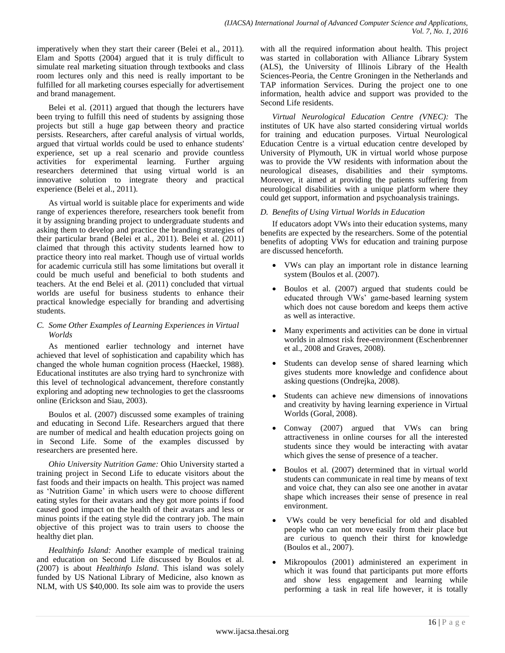imperatively when they start their career (Belei et al., 2011). Elam and Spotts (2004) argued that it is truly difficult to simulate real marketing situation through textbooks and class room lectures only and this need is really important to be fulfilled for all marketing courses especially for advertisement and brand management.

Belei et al. (2011) argued that though the lecturers have been trying to fulfill this need of students by assigning those projects but still a huge gap between theory and practice persists. Researchers, after careful analysis of virtual worlds, argued that virtual worlds could be used to enhance students' experience, set up a real scenario and provide countless activities for experimental learning. Further arguing researchers determined that using virtual world is an innovative solution to integrate theory and practical experience (Belei et al., 2011).

As virtual world is suitable place for experiments and wide range of experiences therefore, researchers took benefit from it by assigning branding project to undergraduate students and asking them to develop and practice the branding strategies of their particular brand (Belei et al., 2011). Belei et al. (2011) claimed that through this activity students learned how to practice theory into real market. Though use of virtual worlds for academic curricula still has some limitations but overall it could be much useful and beneficial to both students and teachers. At the end Belei et al. (2011) concluded that virtual worlds are useful for business students to enhance their practical knowledge especially for branding and advertising students.

# *C. Some Other Examples of Learning Experiences in Virtual Worlds*

As mentioned earlier technology and internet have achieved that level of sophistication and capability which has changed the whole human cognition process (Haeckel, 1988). Educational institutes are also trying hard to synchronize with this level of technological advancement, therefore constantly exploring and adopting new technologies to get the classrooms online (Erickson and Siau, 2003).

Boulos et al. (2007) discussed some examples of training and educating in Second Life. Researchers argued that there are number of medical and health education projects going on in Second Life. Some of the examples discussed by researchers are presented here.

*Ohio University Nutrition Game:* Ohio University started a training project in Second Life to educate visitors about the fast foods and their impacts on health. This project was named as 'Nutrition Game' in which users were to choose different eating styles for their avatars and they got more points if food caused good impact on the health of their avatars and less or minus points if the eating style did the contrary job. The main objective of this project was to train users to choose the healthy diet plan.

*Healthinfo Island:* Another example of medical training and education on Second Life discussed by Boulos et al. (2007) is about *Healthinfo Island*. This island was solely funded by US National Library of Medicine, also known as NLM, with US \$40,000. Its sole aim was to provide the users

with all the required information about health. This project was started in collaboration with Alliance Library System (ALS), the University of Illinois Library of the Health Sciences-Peoria, the Centre Groningen in the Netherlands and TAP information Services. During the project one to one information, health advice and support was provided to the Second Life residents.

*Virtual Neurological Education Centre (VNEC):* The institutes of UK have also started considering virtual worlds for training and education purposes. Virtual Neurological Education Centre is a virtual education centre developed by University of Plymouth, UK in virtual world whose purpose was to provide the VW residents with information about the neurological diseases, disabilities and their symptoms. Moreover, it aimed at providing the patients suffering from neurological disabilities with a unique platform where they could get support, information and psychoanalysis trainings.

# *D. Benefits of Using Virtual Worlds in Education*

If educators adopt VWs into their education systems, many benefits are expected by the researchers. Some of the potential benefits of adopting VWs for education and training purpose are discussed henceforth.

- VWs can play an important role in distance learning system (Boulos et al. (2007).
- Boulos et al. (2007) argued that students could be educated through VWs' game-based learning system which does not cause boredom and keeps them active as well as interactive.
- Many experiments and activities can be done in virtual worlds in almost risk free-environment (Eschenbrenner et al., 2008 and Graves, 2008).
- Students can develop sense of shared learning which gives students more knowledge and confidence about asking questions (Ondrejka, 2008).
- Students can achieve new dimensions of innovations and creativity by having learning experience in Virtual Worlds (Goral, 2008).
- Conway (2007) argued that VWs can bring attractiveness in online courses for all the interested students since they would be interacting with avatar which gives the sense of presence of a teacher.
- Boulos et al. (2007) determined that in virtual world students can communicate in real time by means of text and voice chat, they can also see one another in avatar shape which increases their sense of presence in real environment.
- VWs could be very beneficial for old and disabled people who can not move easily from their place but are curious to quench their thirst for knowledge (Boulos et al., 2007).
- Mikropoulos (2001) administered an experiment in which it was found that participants put more efforts and show less engagement and learning while performing a task in real life however, it is totally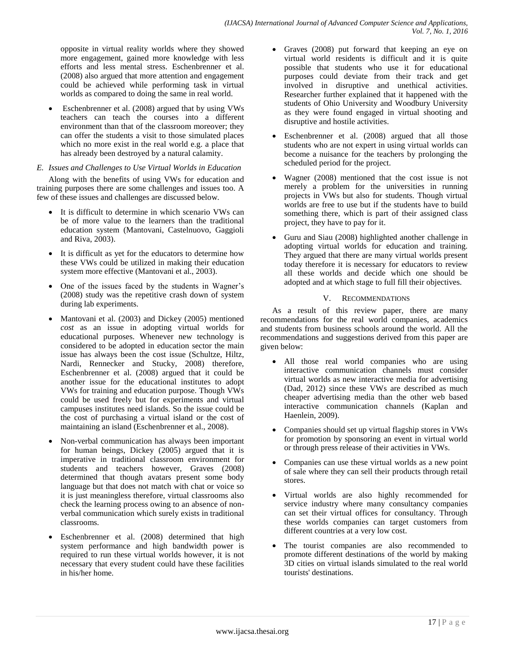opposite in virtual reality worlds where they showed more engagement, gained more knowledge with less efforts and less mental stress. Eschenbrenner et al. (2008) also argued that more attention and engagement could be achieved while performing task in virtual worlds as compared to doing the same in real world.

 Eschenbrenner et al. (2008) argued that by using VWs teachers can teach the courses into a different environment than that of the classroom moreover; they can offer the students a visit to those simulated places which no more exist in the real world e.g. a place that has already been destroyed by a natural calamity.

# *E. Issues and Challenges to Use Virtual Worlds in Education*

Along with the benefits of using VWs for education and training purposes there are some challenges and issues too. A few of these issues and challenges are discussed below.

- It is difficult to determine in which scenario VWs can be of more value to the learners than the traditional education system (Mantovani, Castelnuovo, Gaggioli and Riva, 2003).
- It is difficult as yet for the educators to determine how these VWs could be utilized in making their education system more effective (Mantovani et al., 2003).
- One of the issues faced by the students in Wagner's (2008) study was the repetitive crash down of system during lab experiments.
- Mantovani et al. (2003) and Dickey (2005) mentioned *cost* as an issue in adopting virtual worlds for educational purposes. Whenever new technology is considered to be adopted in education sector the main issue has always been the cost issue (Schultze, Hiltz, Nardi, Rennecker and Stucky, 2008) therefore, Eschenbrenner et al. (2008) argued that it could be another issue for the educational institutes to adopt VWs for training and education purpose. Though VWs could be used freely but for experiments and virtual campuses institutes need islands. So the issue could be the cost of purchasing a virtual island or the cost of maintaining an island (Eschenbrenner et al., 2008).
- Non-verbal communication has always been important for human beings, Dickey (2005) argued that it is imperative in traditional classroom environment for students and teachers however, Graves (2008) determined that though avatars present some body language but that does not match with chat or voice so it is just meaningless therefore, virtual classrooms also check the learning process owing to an absence of nonverbal communication which surely exists in traditional classrooms.
- Eschenbrenner et al. (2008) determined that high system performance and high bandwidth power is required to run these virtual worlds however, it is not necessary that every student could have these facilities in his/her home.
- Graves (2008) put forward that keeping an eye on virtual world residents is difficult and it is quite possible that students who use it for educational purposes could deviate from their track and get involved in disruptive and unethical activities. Researcher further explained that it happened with the students of Ohio University and Woodbury University as they were found engaged in virtual shooting and disruptive and hostile activities.
- Eschenbrenner et al. (2008) argued that all those students who are not expert in using virtual worlds can become a nuisance for the teachers by prolonging the scheduled period for the project.
- Wagner (2008) mentioned that the cost issue is not merely a problem for the universities in running projects in VWs but also for students. Though virtual worlds are free to use but if the students have to build something there, which is part of their assigned class project, they have to pay for it.
- Guru and Siau (2008) highlighted another challenge in adopting virtual worlds for education and training. They argued that there are many virtual worlds present today therefore it is necessary for educators to review all these worlds and decide which one should be adopted and at which stage to full fill their objectives.

## V. RECOMMENDATIONS

As a result of this review paper, there are many recommendations for the real world companies, academics and students from business schools around the world. All the recommendations and suggestions derived from this paper are given below:

- All those real world companies who are using interactive communication channels must consider virtual worlds as new interactive media for advertising (Dad, 2012) since these VWs are described as much cheaper advertising media than the other web based interactive communication channels (Kaplan and Haenlein, 2009).
- Companies should set up virtual flagship stores in VWs for promotion by sponsoring an event in virtual world or through press release of their activities in VWs.
- Companies can use these virtual worlds as a new point of sale where they can sell their products through retail stores.
- Virtual worlds are also highly recommended for service industry where many consultancy companies can set their virtual offices for consultancy. Through these worlds companies can target customers from different countries at a very low cost.
- The tourist companies are also recommended to promote different destinations of the world by making 3D cities on virtual islands simulated to the real world tourists' destinations.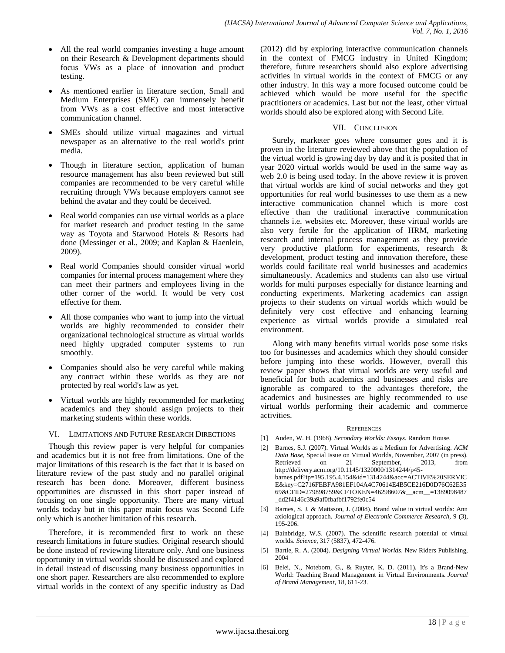- All the real world companies investing a huge amount on their Research & Development departments should focus VWs as a place of innovation and product testing.
- As mentioned earlier in literature section, Small and Medium Enterprises (SME) can immensely benefit from VWs as a cost effective and most interactive communication channel.
- SMEs should utilize virtual magazines and virtual newspaper as an alternative to the real world's print media.
- Though in literature section, application of human resource management has also been reviewed but still companies are recommended to be very careful while recruiting through VWs because employers cannot see behind the avatar and they could be deceived.
- Real world companies can use virtual worlds as a place for market research and product testing in the same way as Toyota and Starwood Hotels & Resorts had done (Messinger et al., 2009; and Kaplan & Haenlein, 2009).
- Real world Companies should consider virtual world companies for internal process management where they can meet their partners and employees living in the other corner of the world. It would be very cost effective for them.
- All those companies who want to jump into the virtual worlds are highly recommended to consider their organizational technological structure as virtual worlds need highly upgraded computer systems to run smoothly.
- Companies should also be very careful while making any contract within these worlds as they are not protected by real world's law as yet.
- Virtual worlds are highly recommended for marketing academics and they should assign projects to their marketing students within these worlds.

### VI. LIMITATIONS AND FUTURE RESEARCH DIRECTIONS

Though this review paper is very helpful for companies and academics but it is not free from limitations. One of the major limitations of this research is the fact that it is based on literature review of the past study and no parallel original research has been done. Moreover, different business opportunities are discussed in this short paper instead of focusing on one single opportunity. There are many virtual worlds today but in this paper main focus was Second Life only which is another limitation of this research.

Therefore, it is recommended first to work on these research limitations in future studies. Original research should be done instead of reviewing literature only. And one business opportunity in virtual worlds should be discussed and explored in detail instead of discussing many business opportunities in one short paper. Researchers are also recommended to explore virtual worlds in the context of any specific industry as Dad (2012) did by exploring interactive communication channels in the context of FMCG industry in United Kingdom; therefore, future researchers should also explore advertising activities in virtual worlds in the context of FMCG or any other industry. In this way a more focused outcome could be achieved which would be more useful for the specific practitioners or academics. Last but not the least, other virtual worlds should also be explored along with Second Life.

## VII. CONCLUSION

Surely, marketer goes where consumer goes and it is proven in the literature reviewed above that the population of the virtual world is growing day by day and it is posited that in year 2020 virtual worlds would be used in the same way as web 2.0 is being used today. In the above review it is proven that virtual worlds are kind of social networks and they got opportunities for real world businesses to use them as a new interactive communication channel which is more cost effective than the traditional interactive communication channels i.e. websites etc. Moreover, these virtual worlds are also very fertile for the application of HRM, marketing research and internal process management as they provide very productive platform for experiments, research & development, product testing and innovation therefore, these worlds could facilitate real world businesses and academics simultaneously. Academics and students can also use virtual worlds for multi purposes especially for distance learning and conducting experiments. Marketing academics can assign projects to their students on virtual worlds which would be definitely very cost effective and enhancing learning experience as virtual worlds provide a simulated real environment.

Along with many benefits virtual worlds pose some risks too for businesses and academics which they should consider before jumping into these worlds. However, overall this review paper shows that virtual worlds are very useful and beneficial for both academics and businesses and risks are ignorable as compared to the advantages therefore, the academics and businesses are highly recommended to use virtual worlds performing their academic and commerce activities.

#### **REFERENCES**

- [1] Auden, W. H. (1968). *Secondary Worlds: Essays.* Random House.
- [2] Barnes, S.J. (2007). Virtual Worlds as a Medium for Advertising. *ACM Data Base,* Special Issue on Virtual Worlds, November, 2007 (in press). Retrieved on 21 September, 2013, from http://delivery.acm.org/10.1145/1320000/1314244/p45 barnes.pdf?ip=195.195.4.154&id=1314244&acc=ACTIVE%20SERVIC E&key=C2716FEBFA981EF104A4C70614E4B5CE216D0D76C62E35 69&CFID=279898759&CFTOKEN=46298607&\_\_acm\_\_=1389098487 \_dd2f4146c39a9af0fbafbf1792fe0c54
- [3] Barnes, S. J. & Mattsson, J. (2008). Brand value in virtual worlds: Ann axiological approach. *Journal of Electronic Commerce Research,* 9 (3), 195-206.
- [4] Bainbridge, W.S. (2007). The scientific research potential of virtual worlds. *Science*, 317 (5837), 472-476.
- [5] Bartle, R. A. (2004). *Designing Virtual Worlds*. New Riders Publishing, 2004
- [6] Belei, N., Noteborn, G., & Ruyter, K. D. (2011). It's a Brand-New World: Teaching Brand Management in Virtual Environments. *Journal of Brand Management*, 18, 611-23.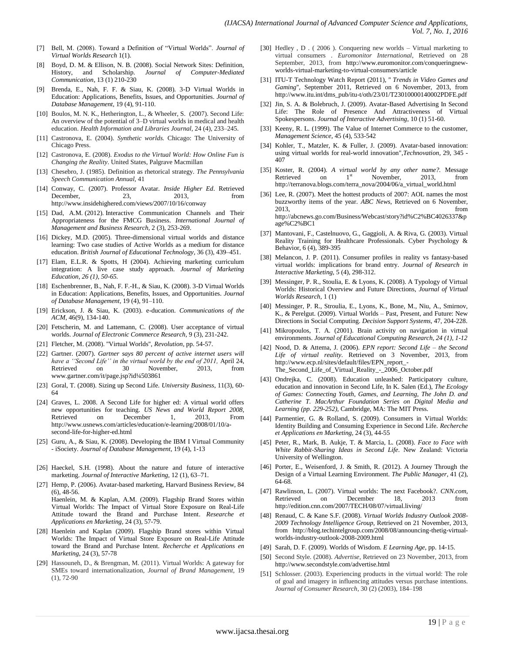- [7] Bell, M. (2008). Toward a Definition of "Virtual Worlds". *Journal of Virtual Worlds Research* 1(1).
- [8] Boyd, D. M. & Ellison, N. B. (2008). Social Network Sites: Definition, History, and Scholarship. *Journal of Computer-Mediated Communication*, 13 (1) 210-230
- [9] Brenda, E., Nah, F. F. & Siau, K. (2008). 3-D Virtual Worlds in Education: Applications, Benefits, Issues, and Opportunities. *Journal of Database Management,* 19 (4), 91-110.
- [10] Boulos, M. N. K., Hetherington, L., & Wheeler, S. (2007). Second Life: An overview of the potential of 3–D virtual worlds in medical and health education. *Health Information and Libraries Journal*, 24 (4), 233–245.
- [11] Castronova, E. (2004). *Synthetic worlds.* Chicago: The University of Chicago Press.
- [12] Castronova, E. (2008). *Exodus to the Virtual World: How Online Fun is Changing the Reality*. United States, Palgrave Macmillan
- [13] Chesebro, J. (1985). Definition as rhetorical strategy. *The Pennsylvania Speech Communication Annual,* 41
- [14] Conway, C. (2007). Professor Avatar. *Inside Higher Ed*. Retrieved December, 23, 2013, from http://www.insidehighered.com/views/2007/10/16/conway
- [15] Dad, A.M. (2012). Interactive Communication Channels and Their Appropriateness for the FMCG Business. *International Journal of Management and Business Research,* 2 (3), 253-269.
- [16] Dickey, M.D. (2005). Three-dimensional virtual worlds and distance learning: Two case studies of Active Worlds as a medium for distance education. *British Journal of Educational Technology*, 36 (3), 439–451.
- [17] Elam, E.L.R. & Spotts, H (2004). Achieving marketing curriculum integration: A live case study approach. *Journal of Marketing Education, 26 (1), 50-65.*
- [18] Eschenbrenner, B., Nah, F. F.-H., & Siau, K. (2008). 3-D Virtual Worlds in Education: Applications, Benefits, Issues, and Opportunities. *Journal of Database Management*, 19 (4), 91–110.
- [19] Erickson, J. & Siau, K. (2003). e-ducation. *Communications of the ACM*, 46(9), 134-140.
- [20] Fetscherin, M. and Lattemann, C. (2008). User acceptance of virtual worlds. *Journal of Electronic Commerce Research,* 9 (3), 231-242.
- [21] Fletcher, M. (2008). ''Virtual Worlds'', *Revolution,* pp. 54-57.
- [22] Gartner. (2007). *Gartner says 80 percent of active internet users will have a ''Second Life'' in the virtual world by the end of 2011,* April 24, Retrieved on 30 November, 2013, from www.gartner.com/it/page.jsp?id¼503861
- [23] Goral, T. (2008). Sizing up Second Life. *University Business*, 11(3), 60- 64
- [24] Graves, L. 2008. A Second Life for higher ed: A virtual world offers new opportunities for teaching. *US News and World Report 2008*, Retrieved on December 1, 2013, From http://www.usnews.com/articles/education/e-learning/2008/01/10/asecond-life-for-higher-ed.html
- [25] Guru, A., & Siau, K. (2008). Developing the IBM I Virtual Community - iSociety. *Journal of Database Management*, 19 (4), 1-13
- [26] Haeckel, S.H. (1998). About the nature and future of interactive marketing. *Journal of Interactive Marketing,* 12 (1), 63–71.
- [27] Hemp, P. (2006). Avatar-based marketing, Harvard Business Review, 84 (6), 48-56.
	- Haenlein, M. & Kaplan, A.M. (2009). Flagship Brand Stores within Virtual Worlds: The Impact of Virtual Store Exposure on Real-Life Attitude toward the Brand and Purchase Intent. *Researche et Applications en Marketing,* 24 (3), 57-79.
- [28] Haenlein and Kaplan (2009). Flagship Brand stores within Virtual Worlds: The Impact of Virtual Store Exposure on Real-Life Attitude toward the Brand and Purchase Intent. *Recherche et Applications en Marketing*, 24 (3), 57-78
- [29] Hassouneh, D., & Brengman, M. (2011). Virtual Worlds: A gateway for SMEs toward internationalization, *Journal of Brand Management,* 19 (1), 72-90
- [30] Hedley, D. (2006). Conquering new worlds Virtual marketing to virtual consumers . *Euromonitor International*, Retrieved on 28 September, 2013, from http://www.euromonitor.com/conqueringnewworlds-virtual-marketing-to-virtual-consumers/article
- [31] ITU-T Technology Watch Report (2011), '' *Trends in Video Games and Gaming*'', September 2011, Retrieved on 6 November, 2013, from http://www.itu.int/dms\_pub/itu-t/oth/23/01/T23010000140002PDFE.pdf
- [32] Jin, S. A. & Bolebruch, J. (2009). Avatar-Based Advertising In Second Life: The Role of Presence And Attractiveness of Virtual Spokespersons. *Journal of Interactive Advertising,* 10 (1) 51-60.
- [33] Keeny, R. L. (1999). The Value of Internet Commerce to the customer, *Management Science,* 45 (4), 533-542
- [34] Kohler, T., Matzler, K. & Fuller, J. (2009). Avatar-based innovation: using virtual worlds for real-world innovation",*Technovation,* 29, 345 - 407
- [35] Koster, R. (2004). *A virtual world by any other name?.* Message Retrieved on  $1<sup>st</sup>$  November, 2013, from http://terranova.blogs.com/terra\_nova/2004/06/a\_virtual\_world.html
- [36] Lee, R. (2007). Meet the hottest products of 2007: AOL names the most buzzworthy items of the year. *ABC News,* Retrieved on 6 November, 2013, from http://abcnews.go.com/Business/Webcast/story?id%C2%BC4026337&p age%C2%BC1
- [37] Mantovani, F., Castelnuovo, G., Gaggioli, A. & Riva, G. (2003). Virtual Reality Training for Healthcare Professionals. Cyber Psychology & Behavior, 6 (4), 389-395
- [38] Melancon, J. P. (2011). Consumer profiles in reality vs fantasy-based virtual worlds: implications for brand entry. *Journal of Research in Interactive Marketing,* 5 (4), 298-312.
- [39] Messinger, P. R., Stoulia, E. & Lyons, K. (2008). A Typology of Virtual Worlds: Historical Overview and Future Directions, *Journal of Virtual Worlds Research,* 1 (1)
- [40] Messinger, P. R., Stroulia, E., Lyons, K., Bone, M., Niu, A., Smirnov, K., & Perelgut. (2009). Virtual Worlds – Past, Present, and Future: New Directions in Social Computing. *Decision Support Systems,* 47, 204-228.
- [41] Mikropoulos, T. A. (2001). Brain activity on navigation in virtual environments. *Journal of Educational Computing Research, 24 (1), 1-12*
- [42] Nood, D. & Attema, J. (2006). *EPN report: Second Life – the Second Life of virtual reality.* Retrieved on 3 November, 2013, from http://www.ecp.nl/sites/default/files/EPN\_report\_- The\_Second\_Life\_of\_Virtual\_Reality\_-\_2006\_October.pdf
- [43] Ondrejka, C. (2008). Education unleashed: Participatory culture, education and innovation in Second Life, In K. Salen (Ed.), *The Ecology of Games: Connecting Youth, Games, and Learning, The John D. and Catherine T. MacArthur Foundation Series on Digital Media and Learning (pp. 229-252),* Cambridge, MA: The MIT Press.
- [44] Parmentier, G. & Rolland, S. (2009). Consumers in Virtual Worlds: Identity Building and Consuming Experience in Second Life. *Recherche et Applications en Marketing,* 24 (3), 44-55
- [45] Peter, R., Mark, B. Aukje, T. & Marcia, L. (2008). *Face to Face with White Rabbit-Sharing Ideas in Second Life*. New Zealand: Victoria University of Wellington.
- [46] Porter, E., Weisenford, J. & Smith, R. (2012). A Journey Through the Design of a Virtual Learning Environment. *The Public Manager,* 41 (2), 64-68.
- [47] Rawlinson, L. (2007). Virtual worlds: The next Facebook?. *CNN.com,* Retrieved on December 18, 2013 from http://edition.cnn.com/2007/TECH/08/07/virtual.living/
- [48] Renaud, C. & Kane S.F. (2008). *Virtual Worlds Industry Outlook 2008- 2009 Technology Intelligence Group,* Retrieved on 21 November, 2013, from http://blog.techintelgroup.com/2008/08/announcing-thetig-virtualworlds-industry-outlook-2008-2009.html
- [49] Sarah, D. F. (2009). Worlds of Wisdom. *E Learning Age,* pp. 14-15.
- [50] Second Style. (2008). *Advertise*, Retrieved on 23 November, 2013, from http://www.secondstyle.com/advertise.html
- [51] Schlosser. (2003). Experiencing products in the virtual world: The role of goal and imagery in influencing attitudes versus purchase intentions. *Journal of Consumer Research*, 30 (2) (2003), 184–198